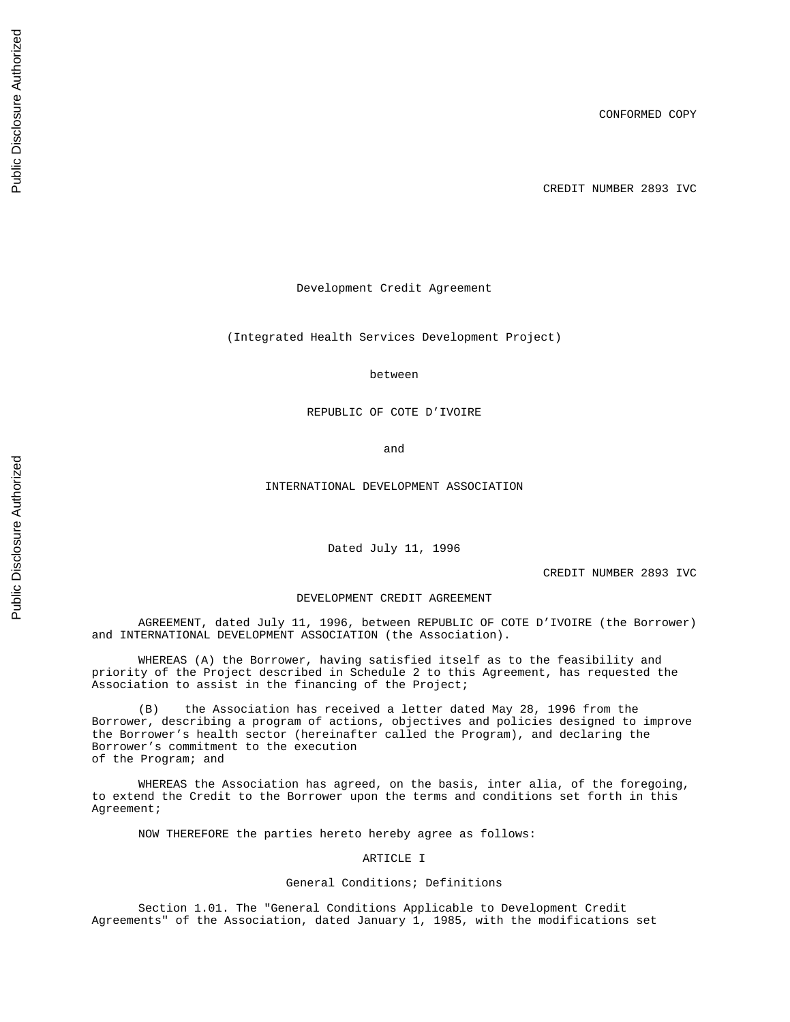CREDIT NUMBER 2893 IVC

Development Credit Agreement

(Integrated Health Services Development Project)

between

REPUBLIC OF COTE D'IVOIRE

and

INTERNATIONAL DEVELOPMENT ASSOCIATION

Dated July 11, 1996

CREDIT NUMBER 2893 IVC

## DEVELOPMENT CREDIT AGREEMENT

AGREEMENT, dated July 11, 1996, between REPUBLIC OF COTE D'IVOIRE (the Borrower) and INTERNATIONAL DEVELOPMENT ASSOCIATION (the Association).

WHEREAS (A) the Borrower, having satisfied itself as to the feasibility and priority of the Project described in Schedule 2 to this Agreement, has requested the Association to assist in the financing of the Project;

(B) the Association has received a letter dated May 28, 1996 from the Borrower, describing a program of actions, objectives and policies designed to improve the Borrower's health sector (hereinafter called the Program), and declaring the Borrower's commitment to the execution of the Program; and

WHEREAS the Association has agreed, on the basis, inter alia, of the foregoing, to extend the Credit to the Borrower upon the terms and conditions set forth in this Agreement;

NOW THEREFORE the parties hereto hereby agree as follows:

ARTICLE I

# General Conditions; Definitions

Section 1.01. The "General Conditions Applicable to Development Credit Agreements" of the Association, dated January 1, 1985, with the modifications set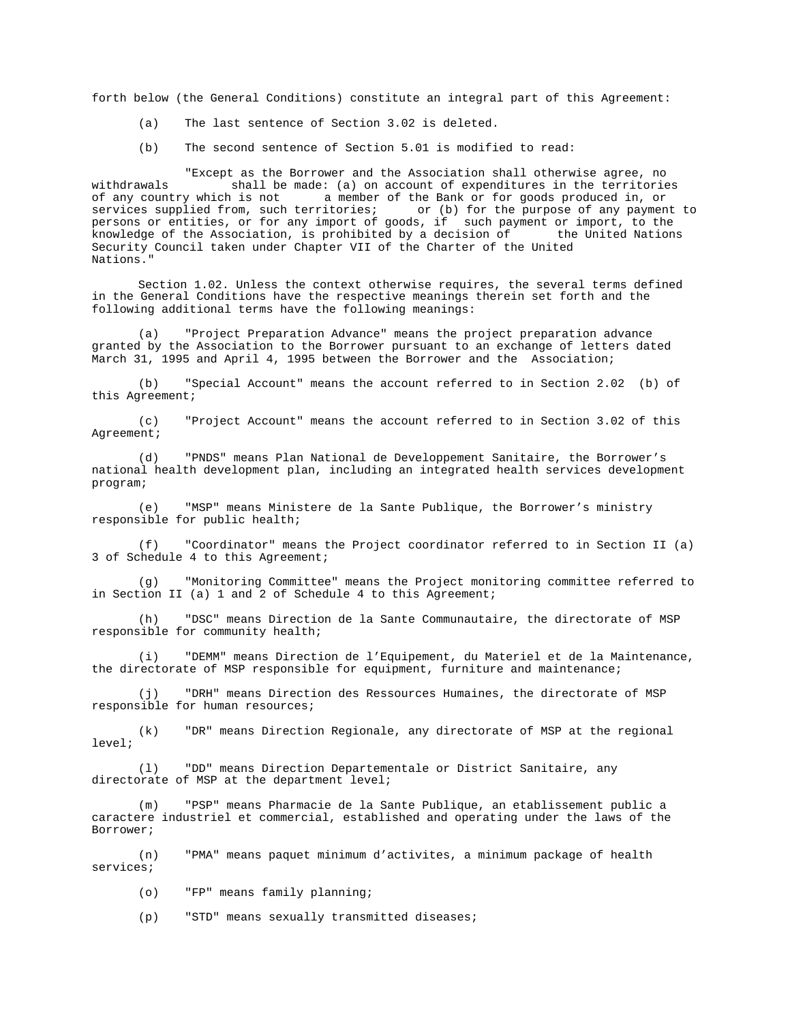forth below (the General Conditions) constitute an integral part of this Agreement:

- (a) The last sentence of Section 3.02 is deleted.
- (b) The second sentence of Section 5.01 is modified to read:

"Except as the Borrower and the Association shall otherwise agree, no withdrawals  $\overline{\phantom{a}}$  shall be made: (a) on account of expenditures in the territories of any country which is not a member of the Bank or for goods produced in, or a member of the Bank or for goods produced in, or<br>
ritories; or (b) for the purpose of any payment to services supplied from, such territories; or (b) for the purpose of any payment to persons or entities, or for any import of goods, if such payment or import, to the knowledge of the Association, is prohibited by a decision of the United Nations Security Council taken under Chapter VII of the Charter of the United Nations."

Section 1.02. Unless the context otherwise requires, the several terms defined in the General Conditions have the respective meanings therein set forth and the following additional terms have the following meanings:

(a) "Project Preparation Advance" means the project preparation advance granted by the Association to the Borrower pursuant to an exchange of letters dated March 31, 1995 and April 4, 1995 between the Borrower and the Association;

(b) "Special Account" means the account referred to in Section 2.02 (b) of this Agreement;

(c) "Project Account" means the account referred to in Section 3.02 of this Agreement;

(d) "PNDS" means Plan National de Developpement Sanitaire, the Borrower's national health development plan, including an integrated health services development program;

(e) "MSP" means Ministere de la Sante Publique, the Borrower's ministry responsible for public health;

(f) "Coordinator" means the Project coordinator referred to in Section II (a) 3 of Schedule 4 to this Agreement;

(g) "Monitoring Committee" means the Project monitoring committee referred to in Section II (a) 1 and  $2$  of Schedule 4 to this Agreement;

(h) "DSC" means Direction de la Sante Communautaire, the directorate of MSP responsible for community health;

(i) "DEMM" means Direction de l'Equipement, du Materiel et de la Maintenance, the directorate of MSP responsible for equipment, furniture and maintenance;

(j) "DRH" means Direction des Ressources Humaines, the directorate of MSP responsible for human resources;

(k) "DR" means Direction Regionale, any directorate of MSP at the regional level;

(l) "DD" means Direction Departementale or District Sanitaire, any directorate of MSP at the department level;

(m) "PSP" means Pharmacie de la Sante Publique, an etablissement public a caractere industriel et commercial, established and operating under the laws of the Borrower;

(n) "PMA" means paquet minimum d'activites, a minimum package of health services;

(o) "FP" means family planning;

(p) "STD" means sexually transmitted diseases;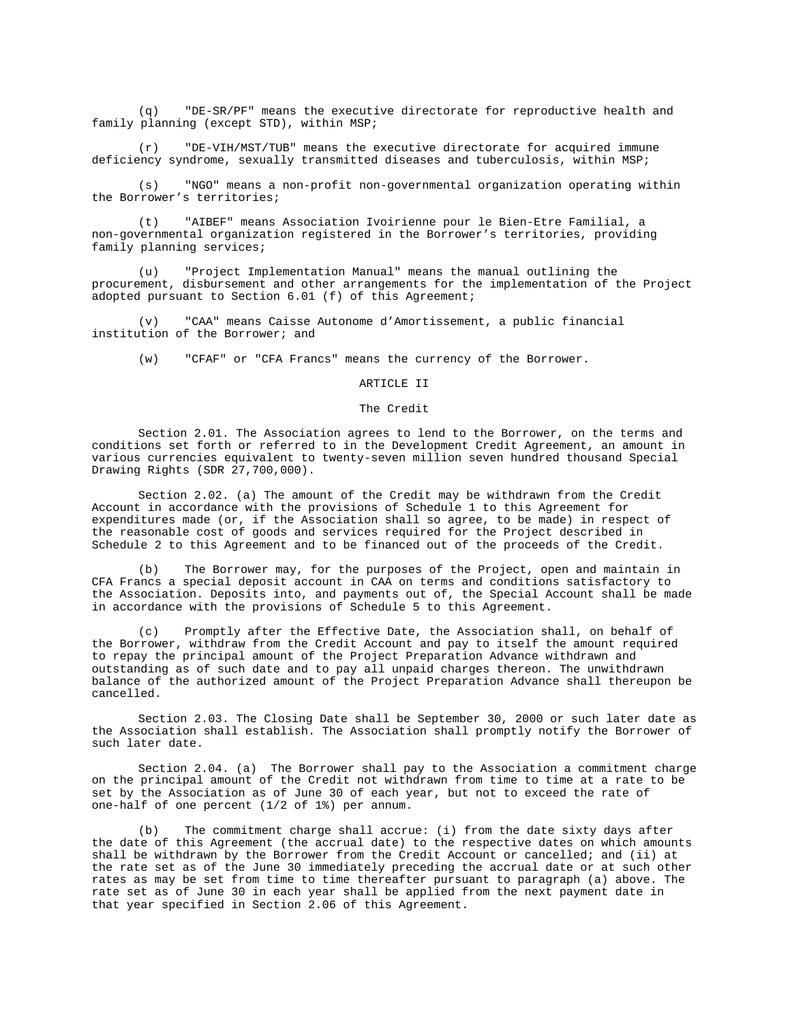(q) "DE-SR/PF" means the executive directorate for reproductive health and family planning (except STD), within MSP;

(r) "DE-VIH/MST/TUB" means the executive directorate for acquired immune deficiency syndrome, sexually transmitted diseases and tuberculosis, within MSP;

(s) "NGO" means a non-profit non-governmental organization operating within the Borrower's territories;

(t) "AIBEF" means Association Ivoirienne pour le Bien-Etre Familial, a non-governmental organization registered in the Borrower's territories, providing family planning services;

(u) "Project Implementation Manual" means the manual outlining the procurement, disbursement and other arrangements for the implementation of the Project adopted pursuant to Section 6.01 (f) of this Agreement;

(v) "CAA" means Caisse Autonome d'Amortissement, a public financial institution of the Borrower; and

(w) "CFAF" or "CFA Francs" means the currency of the Borrower.

#### ARTICLE II

### The Credit

Section 2.01. The Association agrees to lend to the Borrower, on the terms and conditions set forth or referred to in the Development Credit Agreement, an amount in various currencies equivalent to twenty-seven million seven hundred thousand Special Drawing Rights (SDR 27,700,000).

Section 2.02. (a) The amount of the Credit may be withdrawn from the Credit Account in accordance with the provisions of Schedule 1 to this Agreement for expenditures made (or, if the Association shall so agree, to be made) in respect of the reasonable cost of goods and services required for the Project described in Schedule 2 to this Agreement and to be financed out of the proceeds of the Credit.

(b) The Borrower may, for the purposes of the Project, open and maintain in CFA Francs a special deposit account in CAA on terms and conditions satisfactory to the Association. Deposits into, and payments out of, the Special Account shall be made in accordance with the provisions of Schedule 5 to this Agreement.

(c) Promptly after the Effective Date, the Association shall, on behalf of the Borrower, withdraw from the Credit Account and pay to itself the amount required to repay the principal amount of the Project Preparation Advance withdrawn and outstanding as of such date and to pay all unpaid charges thereon. The unwithdrawn balance of the authorized amount of the Project Preparation Advance shall thereupon be cancelled.

Section 2.03. The Closing Date shall be September 30, 2000 or such later date as the Association shall establish. The Association shall promptly notify the Borrower of such later date.

Section 2.04. (a) The Borrower shall pay to the Association a commitment charge on the principal amount of the Credit not withdrawn from time to time at a rate to be set by the Association as of June 30 of each year, but not to exceed the rate of one-half of one percent (1/2 of 1%) per annum.

The commitment charge shall accrue: (i) from the date sixty days after the date of this Agreement (the accrual date) to the respective dates on which amounts shall be withdrawn by the Borrower from the Credit Account or cancelled; and (ii) at the rate set as of the June 30 immediately preceding the accrual date or at such other rates as may be set from time to time thereafter pursuant to paragraph (a) above. The rate set as of June 30 in each year shall be applied from the next payment date in that year specified in Section 2.06 of this Agreement.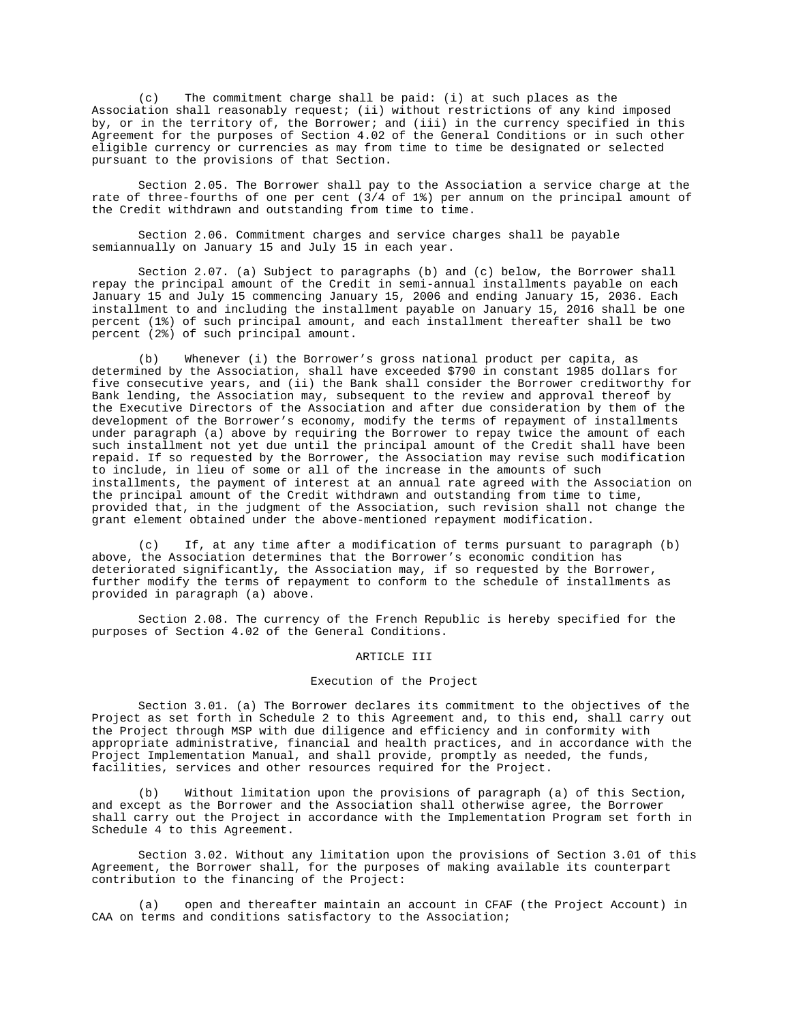(c) The commitment charge shall be paid: (i) at such places as the Association shall reasonably request; (ii) without restrictions of any kind imposed by, or in the territory of, the Borrower; and (iii) in the currency specified in this Agreement for the purposes of Section 4.02 of the General Conditions or in such other eligible currency or currencies as may from time to time be designated or selected pursuant to the provisions of that Section.

Section 2.05. The Borrower shall pay to the Association a service charge at the rate of three-fourths of one per cent  $(3/4$  of 1%) per annum on the principal amount of the Credit withdrawn and outstanding from time to time.

Section 2.06. Commitment charges and service charges shall be payable semiannually on January 15 and July 15 in each year.

Section 2.07. (a) Subject to paragraphs (b) and (c) below, the Borrower shall repay the principal amount of the Credit in semi-annual installments payable on each January 15 and July 15 commencing January 15, 2006 and ending January 15, 2036. Each installment to and including the installment payable on January 15, 2016 shall be one percent (1%) of such principal amount, and each installment thereafter shall be two percent (2%) of such principal amount.

(b) Whenever (i) the Borrower's gross national product per capita, as determined by the Association, shall have exceeded \$790 in constant 1985 dollars for five consecutive years, and (ii) the Bank shall consider the Borrower creditworthy for Bank lending, the Association may, subsequent to the review and approval thereof by the Executive Directors of the Association and after due consideration by them of the development of the Borrower's economy, modify the terms of repayment of installments under paragraph (a) above by requiring the Borrower to repay twice the amount of each such installment not yet due until the principal amount of the Credit shall have been repaid. If so requested by the Borrower, the Association may revise such modification to include, in lieu of some or all of the increase in the amounts of such installments, the payment of interest at an annual rate agreed with the Association on the principal amount of the Credit withdrawn and outstanding from time to time, provided that, in the judgment of the Association, such revision shall not change the grant element obtained under the above-mentioned repayment modification.

(c) If, at any time after a modification of terms pursuant to paragraph (b) above, the Association determines that the Borrower's economic condition has deteriorated significantly, the Association may, if so requested by the Borrower, further modify the terms of repayment to conform to the schedule of installments as provided in paragraph (a) above.

Section 2.08. The currency of the French Republic is hereby specified for the purposes of Section 4.02 of the General Conditions.

#### ARTICLE III

## Execution of the Project

Section 3.01. (a) The Borrower declares its commitment to the objectives of the Project as set forth in Schedule 2 to this Agreement and, to this end, shall carry out the Project through MSP with due diligence and efficiency and in conformity with appropriate administrative, financial and health practices, and in accordance with the Project Implementation Manual, and shall provide, promptly as needed, the funds, facilities, services and other resources required for the Project.

(b) Without limitation upon the provisions of paragraph (a) of this Section, and except as the Borrower and the Association shall otherwise agree, the Borrower shall carry out the Project in accordance with the Implementation Program set forth in Schedule 4 to this Agreement.

Section 3.02. Without any limitation upon the provisions of Section 3.01 of this Agreement, the Borrower shall, for the purposes of making available its counterpart contribution to the financing of the Project:

(a) open and thereafter maintain an account in CFAF (the Project Account) in CAA on terms and conditions satisfactory to the Association;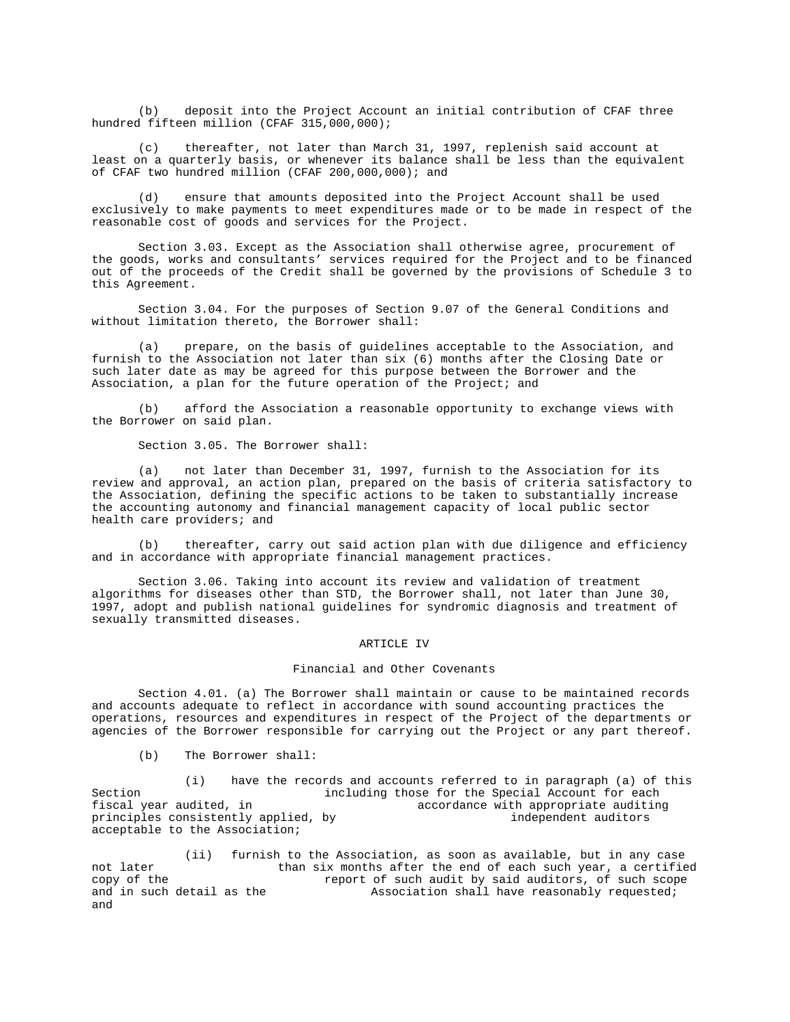(b) deposit into the Project Account an initial contribution of CFAF three hundred fifteen million (CFAF 315,000,000);

(c) thereafter, not later than March 31, 1997, replenish said account at least on a quarterly basis, or whenever its balance shall be less than the equivalent of CFAF two hundred million (CFAF 200,000,000); and

(d) ensure that amounts deposited into the Project Account shall be used exclusively to make payments to meet expenditures made or to be made in respect of the reasonable cost of goods and services for the Project.

Section 3.03. Except as the Association shall otherwise agree, procurement of the goods, works and consultants' services required for the Project and to be financed out of the proceeds of the Credit shall be governed by the provisions of Schedule 3 to this Agreement.

Section 3.04. For the purposes of Section 9.07 of the General Conditions and without limitation thereto, the Borrower shall:

(a) prepare, on the basis of guidelines acceptable to the Association, and furnish to the Association not later than six (6) months after the Closing Date or such later date as may be agreed for this purpose between the Borrower and the Association, a plan for the future operation of the Project; and

(b) afford the Association a reasonable opportunity to exchange views with the Borrower on said plan.

Section 3.05. The Borrower shall:

(a) not later than December 31, 1997, furnish to the Association for its review and approval, an action plan, prepared on the basis of criteria satisfactory to the Association, defining the specific actions to be taken to substantially increase the accounting autonomy and financial management capacity of local public sector health care providers; and

(b) thereafter, carry out said action plan with due diligence and efficiency and in accordance with appropriate financial management practices.

Section 3.06. Taking into account its review and validation of treatment algorithms for diseases other than STD, the Borrower shall, not later than June 30, 1997, adopt and publish national guidelines for syndromic diagnosis and treatment of sexually transmitted diseases.

## ARTICLE IV

## Financial and Other Covenants

Section 4.01. (a) The Borrower shall maintain or cause to be maintained records and accounts adequate to reflect in accordance with sound accounting practices the operations, resources and expenditures in respect of the Project of the departments or agencies of the Borrower responsible for carrying out the Project or any part thereof.

(b) The Borrower shall:

(i) have the records and accounts referred to in paragraph (a) of this Section including those for the Special Account for each<br>fiscal year audited, in decordance with appropriate auditing accordance with appropriate auditing<br>independent auditors principles consistently applied, by acceptable to the Association;

(ii) furnish to the Association, as soon as available, but in any case not later than six months after the end of each such year, a certified<br>copy of the state of such audit by said auditors, of such scope report of such audit by said auditors, of such scope and in such detail as the Association shall have reasonably requested; and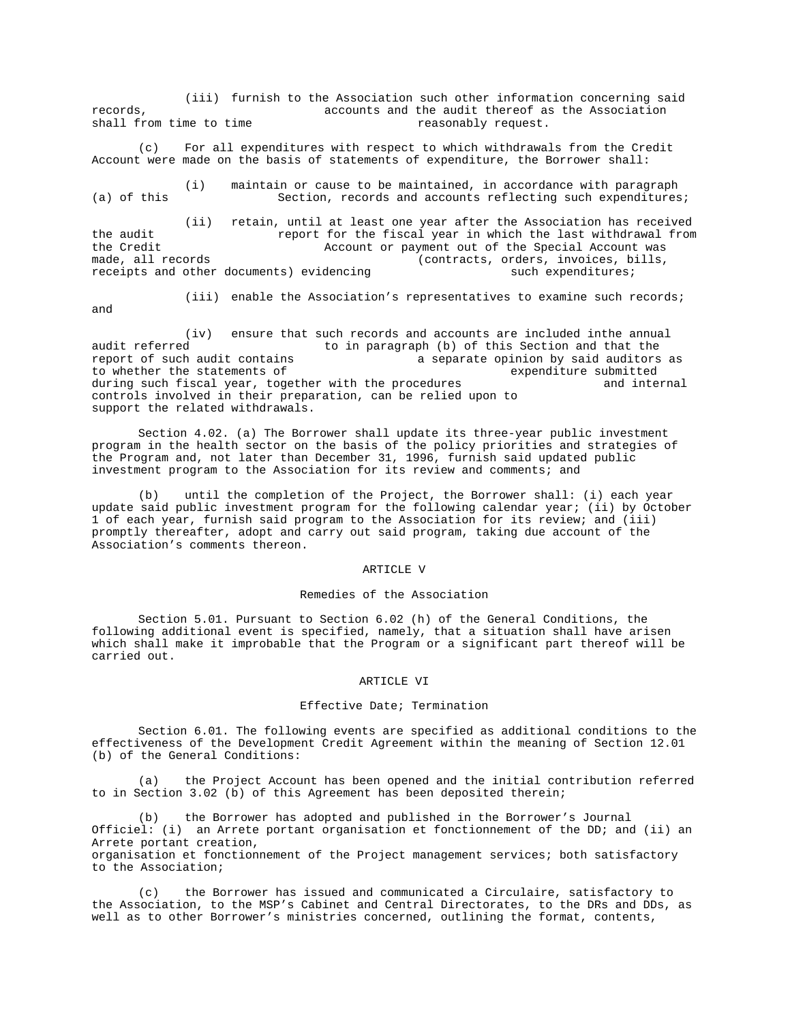(iii) furnish to the Association such other information concerning said records, accounts and the audit thereof as the Association shall from time to time reasonably request.

(c) For all expenditures with respect to which withdrawals from the Credit Account were made on the basis of statements of expenditure, the Borrower shall:

(i) maintain or cause to be maintained, in accordance with paragraph (a) of this Section, records and accounts reflecting such expenditures;

(ii) retain, until at least one year after the Association has received the audit report for the fiscal year in which the last withdrawal from the Credit  $\overline{a}$  account or payment out of the Special Account was made, all records (contracts, orders, invoices, bills, receipts and other documents) evidencing such expenditures;

and

(iii) enable the Association's representatives to examine such records;

(iv) ensure that such records and accounts are included inthe annual<br>to in paragraph (b) of this Section and that the audit referred to in paragraph (b) of this Section and that the<br>report of such audit contains a separate opinion by said auditors a separate opinion by said auditors as<br>expenditure submitted to whether the statements of during such fiscal year, together with the procedures and internal controls involved in their preparation, can be relied upon to support the related withdrawals.

Section 4.02. (a) The Borrower shall update its three-year public investment program in the health sector on the basis of the policy priorities and strategies of the Program and, not later than December 31, 1996, furnish said updated public investment program to the Association for its review and comments; and

(b) until the completion of the Project, the Borrower shall: (i) each year update said public investment program for the following calendar year; (ii) by October 1 of each year, furnish said program to the Association for its review; and (iii) promptly thereafter, adopt and carry out said program, taking due account of the Association's comments thereon.

## ARTICLE V

## Remedies of the Association

Section 5.01. Pursuant to Section 6.02 (h) of the General Conditions, the following additional event is specified, namely, that a situation shall have arisen which shall make it improbable that the Program or a significant part thereof will be carried out.

### ARTICLE VI

## Effective Date; Termination

Section 6.01. The following events are specified as additional conditions to the effectiveness of the Development Credit Agreement within the meaning of Section 12.01 (b) of the General Conditions:

(a) the Project Account has been opened and the initial contribution referred to in Section 3.02 (b) of this Agreement has been deposited therein;

(b) the Borrower has adopted and published in the Borrower's Journal Officiel: (i) an Arrete portant organisation et fonctionnement of the DD; and (ii) an Arrete portant creation, organisation et fonctionnement of the Project management services; both satisfactory to the Association;

(c) the Borrower has issued and communicated a Circulaire, satisfactory to the Association, to the MSP's Cabinet and Central Directorates, to the DRs and DDs, as well as to other Borrower's ministries concerned, outlining the format, contents,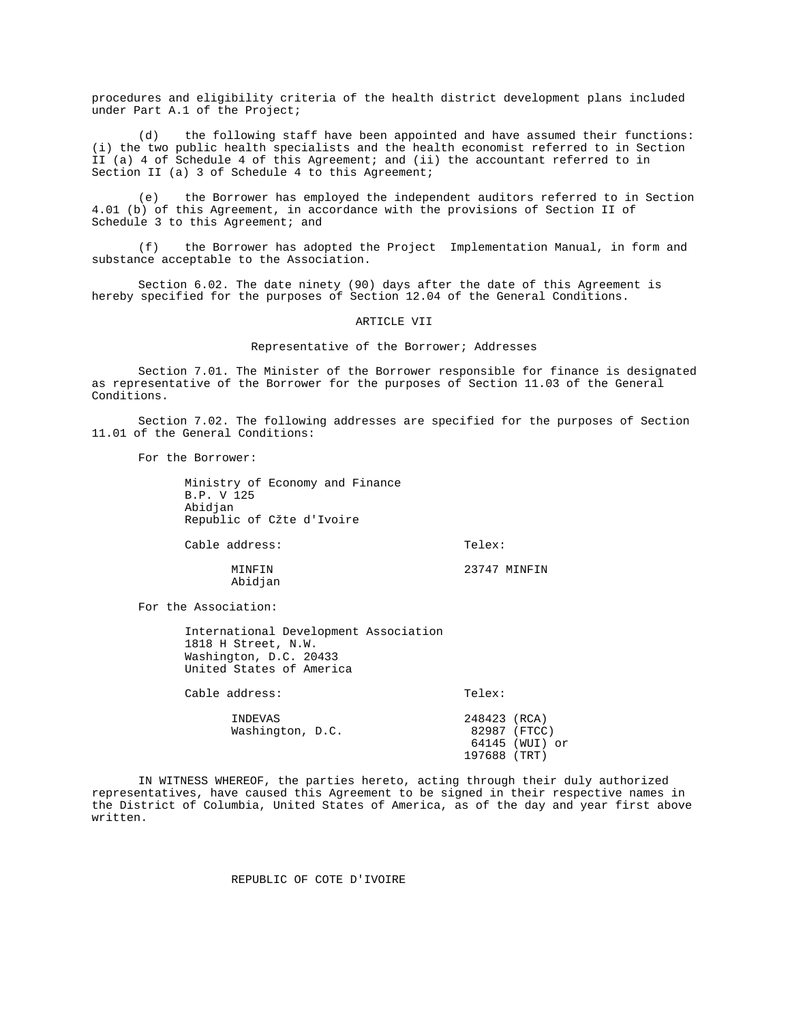procedures and eligibility criteria of the health district development plans included under Part A.1 of the Project;

(d) the following staff have been appointed and have assumed their functions: (i) the two public health specialists and the health economist referred to in Section II (a) 4 of Schedule 4 of this Agreement; and (ii) the accountant referred to in Section II (a) 3 of Schedule 4 to this Agreement;

(e) the Borrower has employed the independent auditors referred to in Section 4.01 (b) of this Agreement, in accordance with the provisions of Section II of Schedule 3 to this Agreement; and

(f) the Borrower has adopted the Project Implementation Manual, in form and substance acceptable to the Association.

Section 6.02. The date ninety (90) days after the date of this Agreement is hereby specified for the purposes of Section 12.04 of the General Conditions.

### ARTICLE VII

Representative of the Borrower; Addresses

Section 7.01. The Minister of the Borrower responsible for finance is designated as representative of the Borrower for the purposes of Section 11.03 of the General Conditions.

Section 7.02. The following addresses are specified for the purposes of Section 11.01 of the General Conditions:

For the Borrower:

Ministry of Economy and Finance B.P. V 125 Abidjan Republic of Cžte d'Ivoire

Cable address: Telex:

MINFIN 23747 MINFIN Abidjan

For the Association:

International Development Association 1818 H Street, N.W. Washington, D.C. 20433 United States of America

Cable address: Telex:

INDEVAS 248423 (RCA)<br>Washington, D.C. 22987 (FTCC) Washington, D.C.

 64145 (WUI) or 197688 (TRT)

IN WITNESS WHEREOF, the parties hereto, acting through their duly authorized representatives, have caused this Agreement to be signed in their respective names in the District of Columbia, United States of America, as of the day and year first above written.

# REPUBLIC OF COTE D'IVOIRE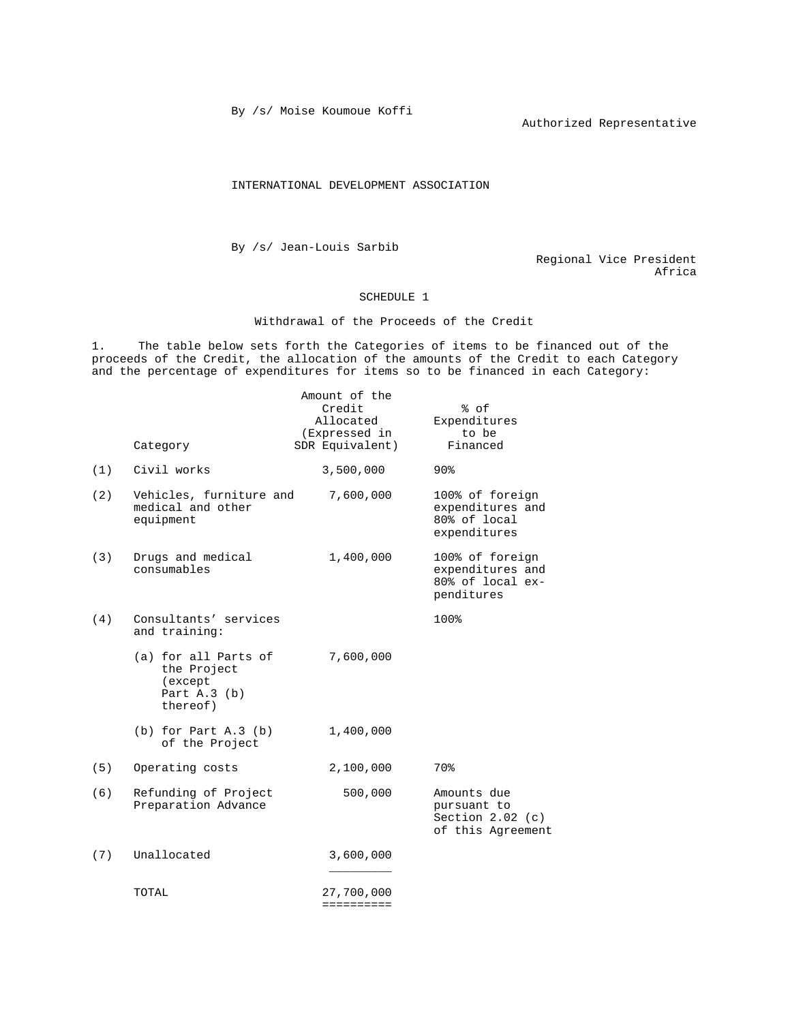By /s/ Moise Koumoue Koffi

Authorized Representative

INTERNATIONAL DEVELOPMENT ASSOCIATION

By /s/ Jean-Louis Sarbib

Regional Vice President Africa

# SCHEDULE 1

Withdrawal of the Proceeds of the Credit

1. The table below sets forth the Categories of items to be financed out of the proceeds of the Credit, the allocation of the amounts of the Credit to each Category and the percentage of expenditures for items so to be financed in each Category:

|     | Category                                                                     | Amount of the<br>Credit<br>Allocated<br>(Expressed in<br>SDR Equivalent) | % of<br>Expenditures<br>to be<br>Financed                             |
|-----|------------------------------------------------------------------------------|--------------------------------------------------------------------------|-----------------------------------------------------------------------|
| (1) | Civil works                                                                  | 3,500,000                                                                | 90 <sup>8</sup>                                                       |
| (2) | Vehicles, furniture and<br>medical and other<br>equipment                    | 7,600,000                                                                | 100% of foreign<br>expenditures and<br>80% of local<br>expenditures   |
| (3) | Drugs and medical<br>consumables                                             | 1,400,000                                                                | 100% of foreign<br>expenditures and<br>80% of local ex-<br>penditures |
| (4) | Consultants' services<br>and training:                                       |                                                                          | 100%                                                                  |
|     | (a) for all Parts of<br>the Project<br>(except<br>Part $A.3$ (b)<br>thereof) | 7,600,000                                                                |                                                                       |
|     | $(b)$ for Part A.3 $(b)$<br>of the Project                                   | 1,400,000                                                                |                                                                       |
| (5) | Operating costs                                                              | 2,100,000                                                                | 70%                                                                   |
| (6) | Refunding of Project<br>Preparation Advance                                  | 500,000                                                                  | Amounts due<br>pursuant to<br>Section $2.02$ (c)<br>of this Agreement |
| (7) | Unallocated                                                                  | 3,600,000                                                                |                                                                       |
|     | TOTAL                                                                        | 27,700,000<br>==========                                                 |                                                                       |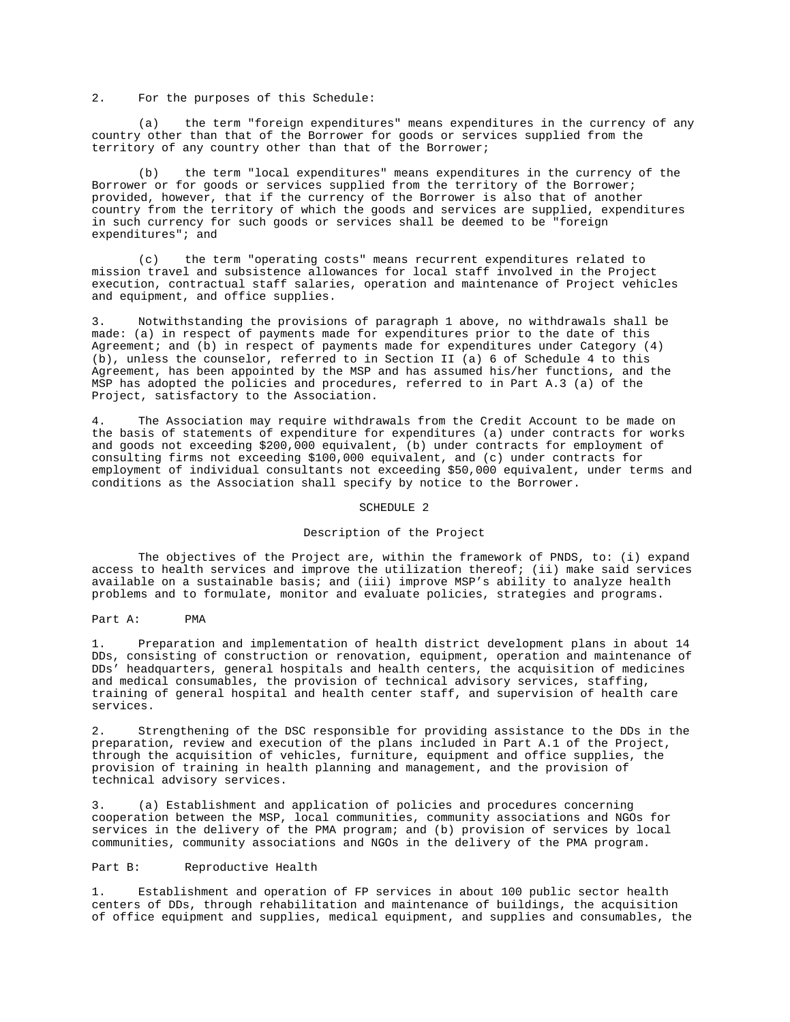2. For the purposes of this Schedule:

(a) the term "foreign expenditures" means expenditures in the currency of any country other than that of the Borrower for goods or services supplied from the territory of any country other than that of the Borrower;

(b) the term "local expenditures" means expenditures in the currency of the Borrower or for goods or services supplied from the territory of the Borrower; provided, however, that if the currency of the Borrower is also that of another country from the territory of which the goods and services are supplied, expenditures in such currency for such goods or services shall be deemed to be "foreign expenditures"; and

(c) the term "operating costs" means recurrent expenditures related to mission travel and subsistence allowances for local staff involved in the Project execution, contractual staff salaries, operation and maintenance of Project vehicles and equipment, and office supplies.

3. Notwithstanding the provisions of paragraph 1 above, no withdrawals shall be made: (a) in respect of payments made for expenditures prior to the date of this Agreement; and (b) in respect of payments made for expenditures under Category  $(4)$ (b), unless the counselor, referred to in Section II (a) 6 of Schedule 4 to this Agreement, has been appointed by the MSP and has assumed his/her functions, and the MSP has adopted the policies and procedures, referred to in Part A.3 (a) of the Project, satisfactory to the Association.

4. The Association may require withdrawals from the Credit Account to be made on the basis of statements of expenditure for expenditures (a) under contracts for works and goods not exceeding \$200,000 equivalent, (b) under contracts for employment of consulting firms not exceeding \$100,000 equivalent, and (c) under contracts for employment of individual consultants not exceeding \$50,000 equivalent, under terms and conditions as the Association shall specify by notice to the Borrower.

### SCHEDULE 2

## Description of the Project

The objectives of the Project are, within the framework of PNDS, to: (i) expand access to health services and improve the utilization thereof; (ii) make said services available on a sustainable basis; and (iii) improve MSP's ability to analyze health problems and to formulate, monitor and evaluate policies, strategies and programs.

#### Part A: PMA

1. Preparation and implementation of health district development plans in about 14 DDs, consisting of construction or renovation, equipment, operation and maintenance of DDs' headquarters, general hospitals and health centers, the acquisition of medicines and medical consumables, the provision of technical advisory services, staffing, training of general hospital and health center staff, and supervision of health care services.

2. Strengthening of the DSC responsible for providing assistance to the DDs in the preparation, review and execution of the plans included in Part A.1 of the Project, through the acquisition of vehicles, furniture, equipment and office supplies, the provision of training in health planning and management, and the provision of technical advisory services.

3. (a) Establishment and application of policies and procedures concerning cooperation between the MSP, local communities, community associations and NGOs for services in the delivery of the PMA program; and (b) provision of services by local communities, community associations and NGOs in the delivery of the PMA program.

### Part B: Reproductive Health

1. Establishment and operation of FP services in about 100 public sector health centers of DDs, through rehabilitation and maintenance of buildings, the acquisition of office equipment and supplies, medical equipment, and supplies and consumables, the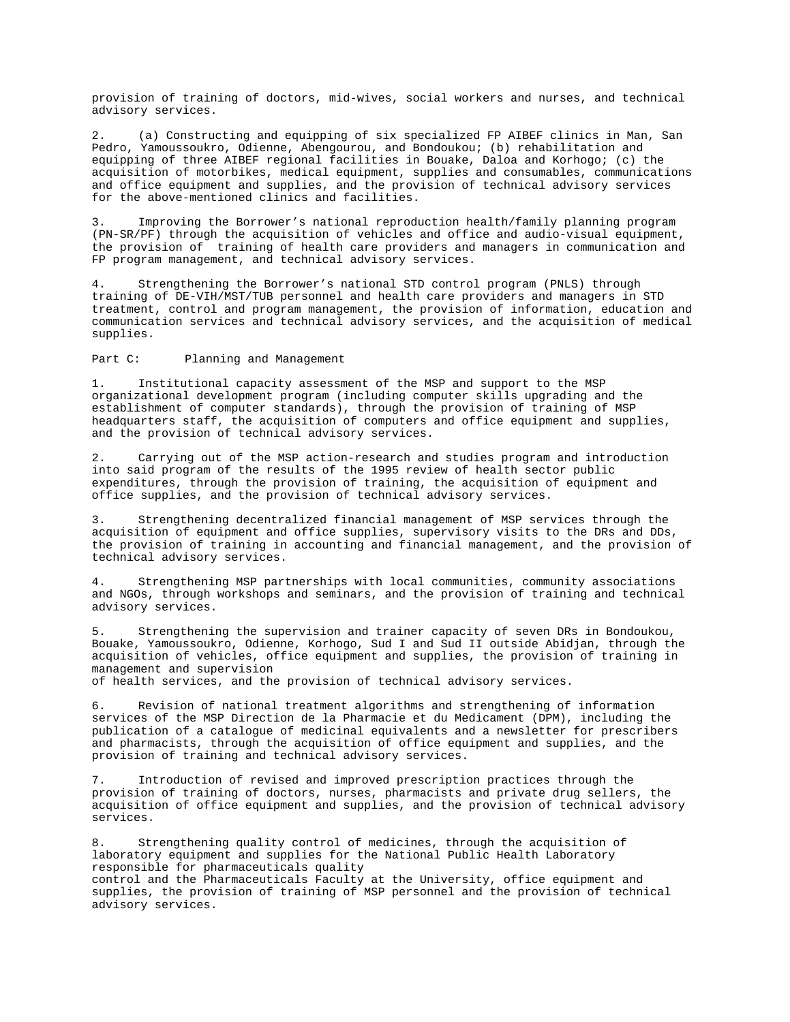provision of training of doctors, mid-wives, social workers and nurses, and technical advisory services.

2. (a) Constructing and equipping of six specialized FP AIBEF clinics in Man, San Pedro, Yamoussoukro, Odienne, Abengourou, and Bondoukou; (b) rehabilitation and equipping of three AIBEF regional facilities in Bouake, Daloa and Korhogo; (c) the acquisition of motorbikes, medical equipment, supplies and consumables, communications and office equipment and supplies, and the provision of technical advisory services for the above-mentioned clinics and facilities.

3. Improving the Borrower's national reproduction health/family planning program (PN-SR/PF) through the acquisition of vehicles and office and audio-visual equipment, the provision of training of health care providers and managers in communication and FP program management, and technical advisory services.

4. Strengthening the Borrower's national STD control program (PNLS) through training of DE-VIH/MST/TUB personnel and health care providers and managers in STD treatment, control and program management, the provision of information, education and communication services and technical advisory services, and the acquisition of medical supplies.

Part C: Planning and Management

1. Institutional capacity assessment of the MSP and support to the MSP organizational development program (including computer skills upgrading and the establishment of computer standards), through the provision of training of MSP headquarters staff, the acquisition of computers and office equipment and supplies, and the provision of technical advisory services.

2. Carrying out of the MSP action-research and studies program and introduction into said program of the results of the 1995 review of health sector public expenditures, through the provision of training, the acquisition of equipment and office supplies, and the provision of technical advisory services.

3. Strengthening decentralized financial management of MSP services through the acquisition of equipment and office supplies, supervisory visits to the DRs and DDs, the provision of training in accounting and financial management, and the provision of technical advisory services.

4. Strengthening MSP partnerships with local communities, community associations and NGOs, through workshops and seminars, and the provision of training and technical advisory services.

5. Strengthening the supervision and trainer capacity of seven DRs in Bondoukou, Bouake, Yamoussoukro, Odienne, Korhogo, Sud I and Sud II outside Abidjan, through the acquisition of vehicles, office equipment and supplies, the provision of training in management and supervision

of health services, and the provision of technical advisory services.

6. Revision of national treatment algorithms and strengthening of information services of the MSP Direction de la Pharmacie et du Medicament (DPM), including the publication of a catalogue of medicinal equivalents and a newsletter for prescribers and pharmacists, through the acquisition of office equipment and supplies, and the provision of training and technical advisory services.

7. Introduction of revised and improved prescription practices through the provision of training of doctors, nurses, pharmacists and private drug sellers, the acquisition of office equipment and supplies, and the provision of technical advisory services.

8. Strengthening quality control of medicines, through the acquisition of laboratory equipment and supplies for the National Public Health Laboratory responsible for pharmaceuticals quality control and the Pharmaceuticals Faculty at the University, office equipment and supplies, the provision of training of MSP personnel and the provision of technical advisory services.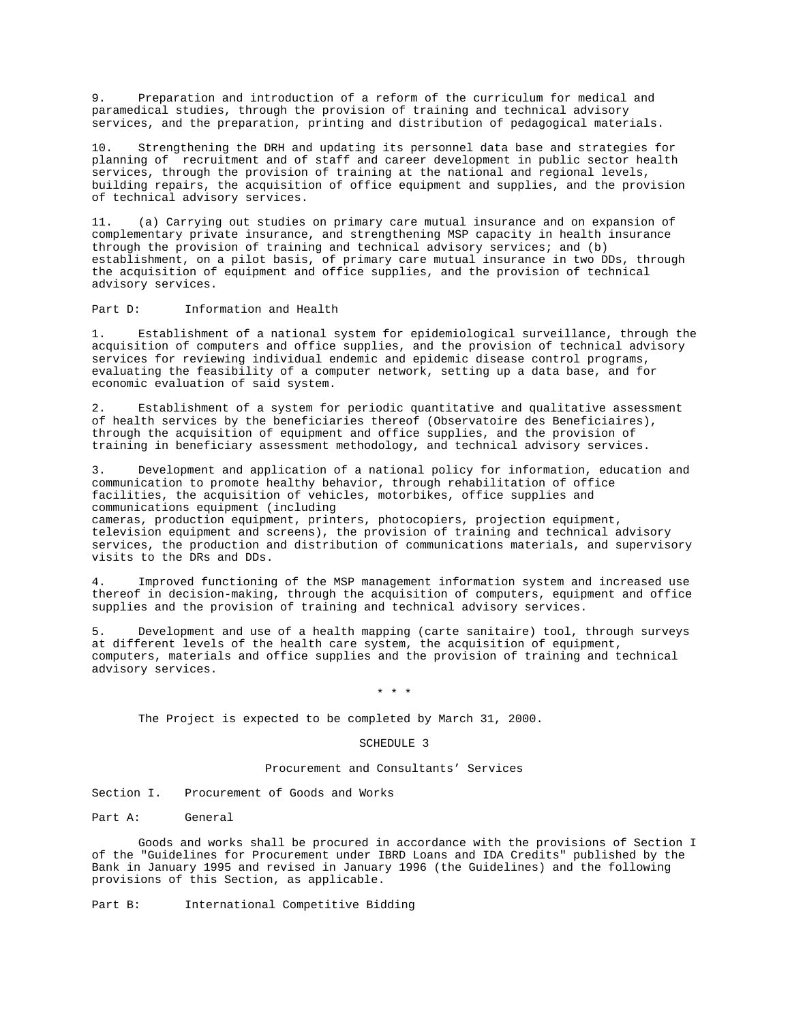9. Preparation and introduction of a reform of the curriculum for medical and paramedical studies, through the provision of training and technical advisory services, and the preparation, printing and distribution of pedagogical materials.

10. Strengthening the DRH and updating its personnel data base and strategies for planning of recruitment and of staff and career development in public sector health services, through the provision of training at the national and regional levels, building repairs, the acquisition of office equipment and supplies, and the provision of technical advisory services.

11. (a) Carrying out studies on primary care mutual insurance and on expansion of complementary private insurance, and strengthening MSP capacity in health insurance through the provision of training and technical advisory services; and (b) establishment, on a pilot basis, of primary care mutual insurance in two DDs, through the acquisition of equipment and office supplies, and the provision of technical advisory services.

Part D: Information and Health

1. Establishment of a national system for epidemiological surveillance, through the acquisition of computers and office supplies, and the provision of technical advisory services for reviewing individual endemic and epidemic disease control programs, evaluating the feasibility of a computer network, setting up a data base, and for economic evaluation of said system.

Establishment of a system for periodic quantitative and qualitative assessment of health services by the beneficiaries thereof (Observatoire des Beneficiaires), through the acquisition of equipment and office supplies, and the provision of training in beneficiary assessment methodology, and technical advisory services.

3. Development and application of a national policy for information, education and communication to promote healthy behavior, through rehabilitation of office facilities, the acquisition of vehicles, motorbikes, office supplies and communications equipment (including cameras, production equipment, printers, photocopiers, projection equipment, television equipment and screens), the provision of training and technical advisory

services, the production and distribution of communications materials, and supervisory visits to the DRs and DDs.

4. Improved functioning of the MSP management information system and increased use thereof in decision-making, through the acquisition of computers, equipment and office supplies and the provision of training and technical advisory services.

5. Development and use of a health mapping (carte sanitaire) tool, through surveys at different levels of the health care system, the acquisition of equipment, computers, materials and office supplies and the provision of training and technical advisory services.

# \* \* \*

The Project is expected to be completed by March 31, 2000.

### SCHEDULE 3

### Procurement and Consultants' Services

Section I. Procurement of Goods and Works

Part A: General

Goods and works shall be procured in accordance with the provisions of Section I of the "Guidelines for Procurement under IBRD Loans and IDA Credits" published by the Bank in January 1995 and revised in January 1996 (the Guidelines) and the following provisions of this Section, as applicable.

Part B: International Competitive Bidding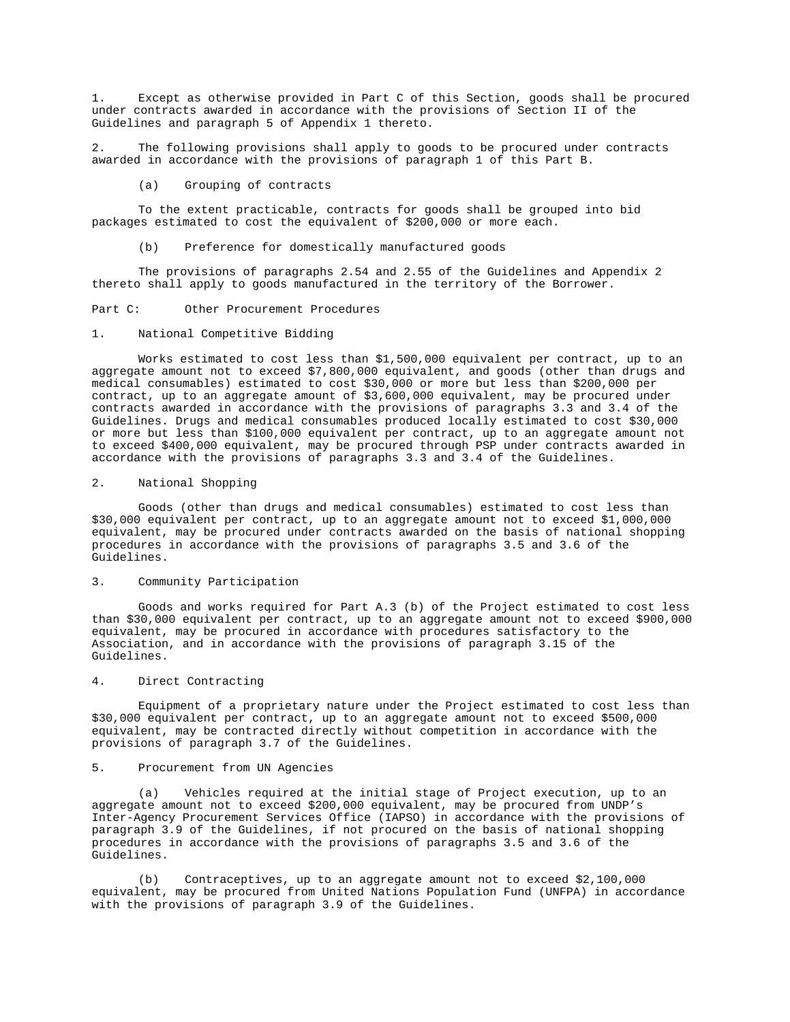1. Except as otherwise provided in Part C of this Section, goods shall be procured under contracts awarded in accordance with the provisions of Section II of the Guidelines and paragraph 5 of Appendix 1 thereto.

2. The following provisions shall apply to goods to be procured under contracts awarded in accordance with the provisions of paragraph 1 of this Part B.

(a) Grouping of contracts

To the extent practicable, contracts for goods shall be grouped into bid packages estimated to cost the equivalent of \$200,000 or more each.

(b) Preference for domestically manufactured goods

The provisions of paragraphs 2.54 and 2.55 of the Guidelines and Appendix 2 thereto shall apply to goods manufactured in the territory of the Borrower.

Part C: Other Procurement Procedures

### 1. National Competitive Bidding

Works estimated to cost less than \$1,500,000 equivalent per contract, up to an aggregate amount not to exceed \$7,800,000 equivalent, and goods (other than drugs and medical consumables) estimated to cost \$30,000 or more but less than \$200,000 per contract, up to an aggregate amount of \$3,600,000 equivalent, may be procured under contracts awarded in accordance with the provisions of paragraphs 3.3 and 3.4 of the Guidelines. Drugs and medical consumables produced locally estimated to cost \$30,000 or more but less than \$100,000 equivalent per contract, up to an aggregate amount not to exceed \$400,000 equivalent, may be procured through PSP under contracts awarded in accordance with the provisions of paragraphs 3.3 and 3.4 of the Guidelines.

## 2. National Shopping

Goods (other than drugs and medical consumables) estimated to cost less than \$30,000 equivalent per contract, up to an aggregate amount not to exceed \$1,000,000 equivalent, may be procured under contracts awarded on the basis of national shopping procedures in accordance with the provisions of paragraphs 3.5 and 3.6 of the Guidelines.

## 3. Community Participation

Goods and works required for Part A.3 (b) of the Project estimated to cost less than \$30,000 equivalent per contract, up to an aggregate amount not to exceed \$900,000 equivalent, may be procured in accordance with procedures satisfactory to the Association, and in accordance with the provisions of paragraph 3.15 of the Guidelines.

## 4. Direct Contracting

Equipment of a proprietary nature under the Project estimated to cost less than \$30,000 equivalent per contract, up to an aggregate amount not to exceed \$500,000 equivalent, may be contracted directly without competition in accordance with the provisions of paragraph 3.7 of the Guidelines.

### 5. Procurement from UN Agencies

(a) Vehicles required at the initial stage of Project execution, up to an aggregate amount not to exceed \$200,000 equivalent, may be procured from UNDP's Inter-Agency Procurement Services Office (IAPSO) in accordance with the provisions of paragraph 3.9 of the Guidelines, if not procured on the basis of national shopping procedures in accordance with the provisions of paragraphs 3.5 and 3.6 of the Guidelines.

(b) Contraceptives, up to an aggregate amount not to exceed \$2,100,000 equivalent, may be procured from United Nations Population Fund (UNFPA) in accordance with the provisions of paragraph 3.9 of the Guidelines.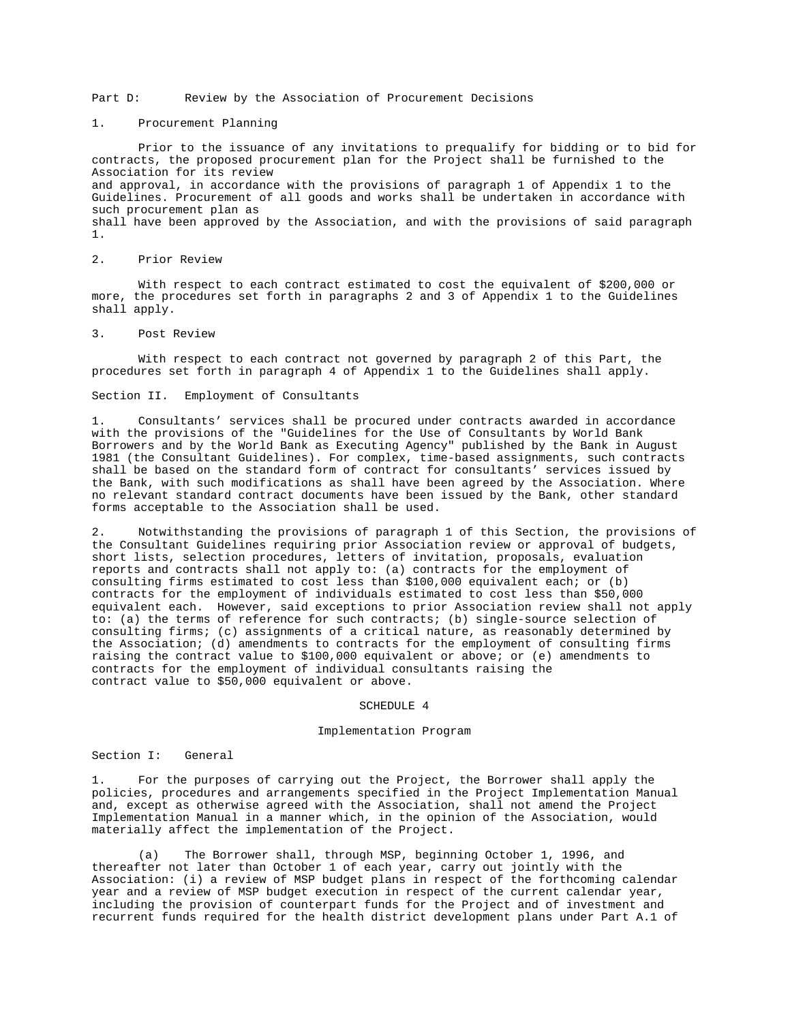Part D: Review by the Association of Procurement Decisions

## 1. Procurement Planning

Prior to the issuance of any invitations to prequalify for bidding or to bid for contracts, the proposed procurement plan for the Project shall be furnished to the Association for its review and approval, in accordance with the provisions of paragraph 1 of Appendix 1 to the Guidelines. Procurement of all goods and works shall be undertaken in accordance with such procurement plan as shall have been approved by the Association, and with the provisions of said paragraph 1.

# 2. Prior Review

With respect to each contract estimated to cost the equivalent of \$200,000 or more, the procedures set forth in paragraphs 2 and 3 of Appendix 1 to the Guidelines shall apply.

#### 3. Post Review

With respect to each contract not governed by paragraph 2 of this Part, the procedures set forth in paragraph 4 of Appendix 1 to the Guidelines shall apply.

## Section II. Employment of Consultants

1. Consultants' services shall be procured under contracts awarded in accordance with the provisions of the "Guidelines for the Use of Consultants by World Bank Borrowers and by the World Bank as Executing Agency" published by the Bank in August 1981 (the Consultant Guidelines). For complex, time-based assignments, such contracts shall be based on the standard form of contract for consultants' services issued by the Bank, with such modifications as shall have been agreed by the Association. Where no relevant standard contract documents have been issued by the Bank, other standard forms acceptable to the Association shall be used.

2. Notwithstanding the provisions of paragraph 1 of this Section, the provisions of the Consultant Guidelines requiring prior Association review or approval of budgets, short lists, selection procedures, letters of invitation, proposals, evaluation reports and contracts shall not apply to: (a) contracts for the employment of consulting firms estimated to cost less than \$100,000 equivalent each; or (b) contracts for the employment of individuals estimated to cost less than \$50,000 equivalent each. However, said exceptions to prior Association review shall not apply to: (a) the terms of reference for such contracts; (b) single-source selection of consulting firms; (c) assignments of a critical nature, as reasonably determined by the Association; (d) amendments to contracts for the employment of consulting firms raising the contract value to \$100,000 equivalent or above; or (e) amendments to contracts for the employment of individual consultants raising the contract value to \$50,000 equivalent or above.

#### SCHEDULE 4

### Implementation Program

### Section I: General

1. For the purposes of carrying out the Project, the Borrower shall apply the policies, procedures and arrangements specified in the Project Implementation Manual and, except as otherwise agreed with the Association, shall not amend the Project Implementation Manual in a manner which, in the opinion of the Association, would materially affect the implementation of the Project.

(a) The Borrower shall, through MSP, beginning October 1, 1996, and thereafter not later than October 1 of each year, carry out jointly with the Association: (i) a review of MSP budget plans in respect of the forthcoming calendar year and a review of MSP budget execution in respect of the current calendar year, including the provision of counterpart funds for the Project and of investment and recurrent funds required for the health district development plans under Part A.1 of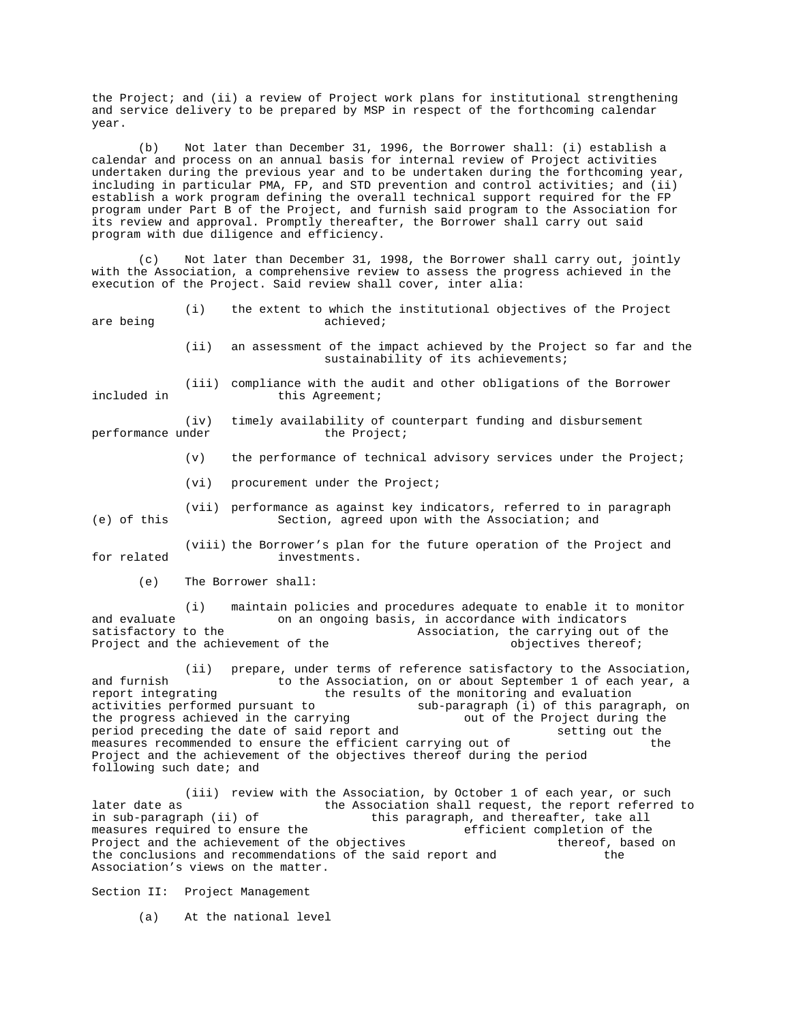the Project; and (ii) a review of Project work plans for institutional strengthening and service delivery to be prepared by MSP in respect of the forthcoming calendar year.

(b) Not later than December 31, 1996, the Borrower shall: (i) establish a calendar and process on an annual basis for internal review of Project activities undertaken during the previous year and to be undertaken during the forthcoming year, including in particular PMA, FP, and STD prevention and control activities; and (ii) establish a work program defining the overall technical support required for the FP program under Part B of the Project, and furnish said program to the Association for its review and approval. Promptly thereafter, the Borrower shall carry out said program with due diligence and efficiency.

(c) Not later than December 31, 1998, the Borrower shall carry out, jointly with the Association, a comprehensive review to assess the progress achieved in the execution of the Project. Said review shall cover, inter alia:

| (i)       |  |  |  |  |  | the extent to which the institutional objectives of the Project |  |  |  |  |
|-----------|--|--|--|--|--|-----------------------------------------------------------------|--|--|--|--|
| achieved; |  |  |  |  |  |                                                                 |  |  |  |  |

(ii) an assessment of the impact achieved by the Project so far and the sustainability of its achievements;

(iii) compliance with the audit and other obligations of the Borrower

included in this Agreement;

are being

(iv) timely availability of counterpart funding and disbursement performance under

- (v) the performance of technical advisory services under the Project;
- (vi) procurement under the Project;

(vii) performance as against key indicators, referred to in paragraph (e) of this Section, agreed upon with the Association; and

(viii) the Borrower's plan for the future operation of the Project and for related investments.

(e) The Borrower shall:

(i) maintain policies and procedures adequate to enable it to monitor and evaluate on an ongoing basis, in accordance with indicators satisfactory to the  $\sim$  Association, the carrying out of the Project and the achievement of the objectives thereof;

(ii) prepare, under terms of reference satisfactory to the Association, and furnish to the Association, on or about September 1 of each year, a report integrating  $t$  the results of the monitoring and evaluation activities performed pursuant to sub-paragraph (i) of this paragraph, on the progress achieved in the carrying out of the Project during the the progress achieved in the carrying<br>period preceding the date of said report and setting out the setting out the period preceding the date of said report and setting out the measures recommended to ensure the efficient carrying out of the measures recommended to ensure the efficient carrying out of Project and the achievement of the objectives thereof during the period following such date; and

(iii) review with the Association, by October 1 of each year, or such later date as  $t$  the Association shall request, the report referred to in sub-paragraph (ii) of this paragraph, and thereafter, take all measures required to ensure the efficient completion of the Project and the achievement of the objectives thereof, based on the conclusions and recommendations of the said report and the the the conclusions and recommendations of the said report and Association's views on the matter.

Section II: Project Management

(a) At the national level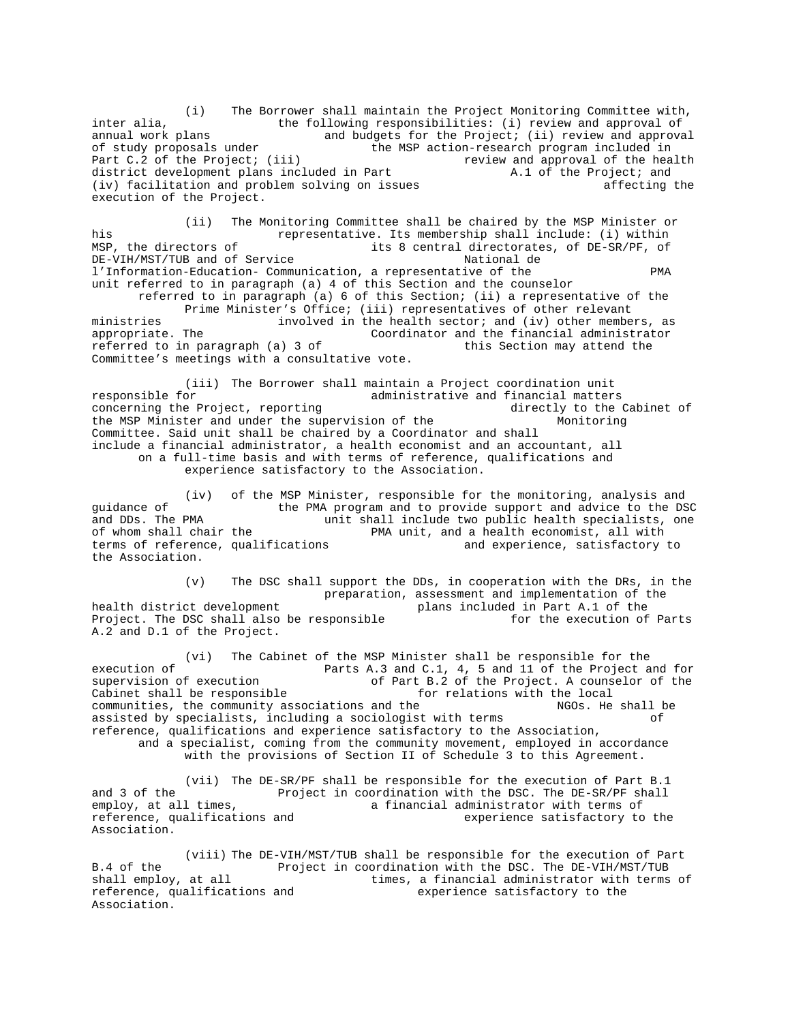(i) The Borrower shall maintain the Project Monitoring Committee with, inter alia, the following responsibilities: (i) review and approval of annual work plans and budgets for the Project; (ii) review and approval of study proposals under the MSP action-research program included in<br>Part C.2 of the Project; (iii) Teview and approval of the hea review and approval of the health district development plans included in Part  $A.1$  of the Project; and (iv) facilitation and problem solving on issues affecting the execution of the Project.

(ii) The Monitoring Committee shall be chaired by the MSP Minister or his representative. Its membership shall include: (i) within MSP, the directors of its 8 central directorates, of DE-SR/PF, of<br>DE-VIH/MST/TUB and of Service Mational de National de DE-VIH/MST/TUB and of Service l'Information-Education- Communication, a representative of the PMA unit referred to in paragraph (a) 4 of this Section and the counselor referred to in paragraph (a) 6 of this Section; (ii) a representative of the Prime Minister's Office; (iii) representatives of other relevant ministries involved in the health sector; and (iv) other members, as appropriate. The Coordinator and the financial administrator<br>referred to in paragraph (a) 3 of this Section may attend the referred to in paragraph (a)  $3$  of Committee's meetings with a consultative vote.

(iii) The Borrower shall maintain a Project coordination unit responsible for  $\ldots$  administrative and financial matters<br>concerning the Project, reporting  $\ldots$  administrative and financial matters concerning the Project, reporting<br>the MSP Minister and under the supervision of the MSP Monitoring the MSP Minister and under the supervision of the Committee. Said unit shall be chaired by a Coordinator and shall include a financial administrator, a health economist and an accountant, all on a full-time basis and with terms of reference, qualifications and experience satisfactory to the Association.

(iv) of the MSP Minister, responsible for the monitoring, analysis and guidance of the PMA program and to provide support and advice to the DSC and DDs. The PMA unit shall include two public health specialists, one PMA unit, and a health economist, all with<br>and experience, satisfactory to terms of reference, qualifications the Association.

(v) The DSC shall support the DDs, in cooperation with the DRs, in the preparation, assessment and implementation of the health district development<br>
Project. The DSC shall also be responsible<br>
for the execution of Parts Project. The DSC shall also be responsible A.2 and D.1 of the Project.

(vi) The Cabinet of the MSP Minister shall be responsible for the execution of **Parts A.3 and C.1, 4, 5 and 11 of the Project and for**<br>supervision of execution of Part B.2 of the Project. A counselor of the of Part B.2 of the Project. A counselor of the Cabinet shall be responsible for relations with the local communities, the community associations and the  $NGOS$ . He shall be assisted by specialists, including a sociologist with terms of reference, qualifications and experience satisfactory to the Association, and a specialist, coming from the community movement, employed in accordance with the provisions of Section II of Schedule 3 to this Agreement.

(vii) The DE-SR/PF shall be responsible for the execution of Part B.1 and 3 of the Project in coordination with the DSC. The DE-SR/PF shall employ, at all times,  $\frac{1}{2}$  a financial administrator with terms of employ, at all times,<br>
reference, qualifications and<br>
experience satisfactory to<br>
experience satisfactory to experience satisfactory to the Association.

(viii) The DE-VIH/MST/TUB shall be responsible for the execution of Part B.4 of the Project in coordination with the DSC. The DE-VIH/MST/TUB shall employ, at all times, a financial administrator with terms times, a financial administrator with terms of reference, qualifications and experience satisfactory to the Association.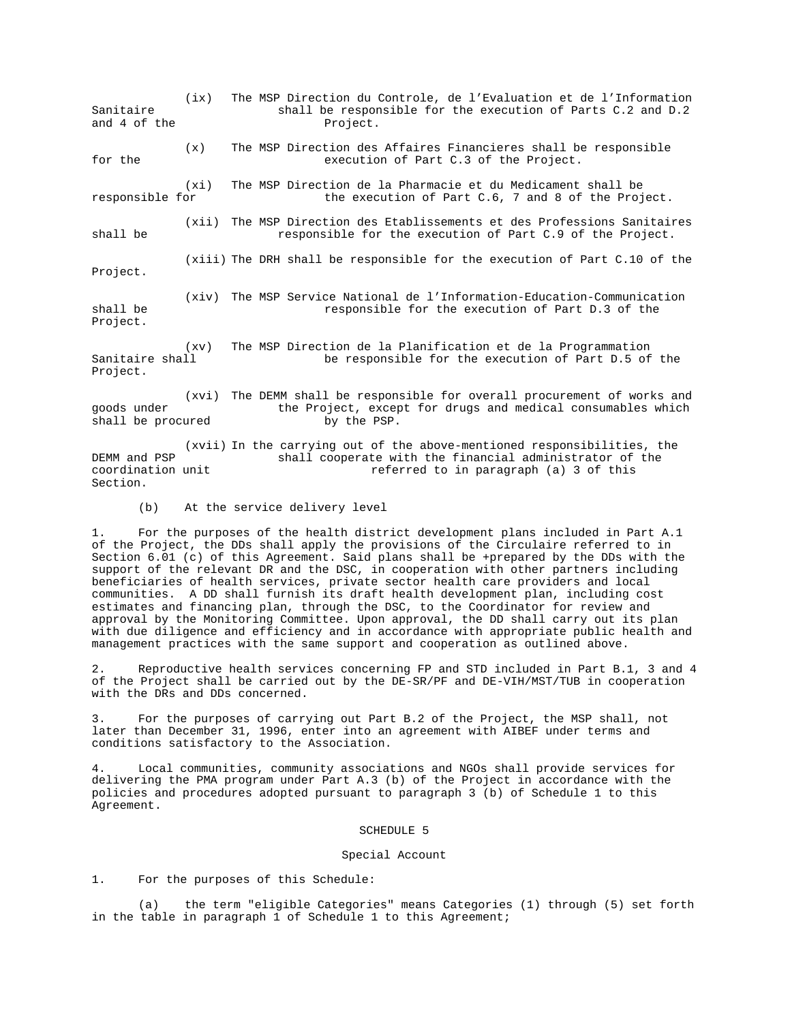(ix) The MSP Direction du Controle, de l'Evaluation et de l'Information Sanitaire  $\sim$  shall be responsible for the execution of Parts C.2 and D.2 and 4 of the **Project**. (x) The MSP Direction des Affaires Financieres shall be responsible for the execution of Part C.3 of the Project. (xi) The MSP Direction de la Pharmacie et du Medicament shall be responsible for the execution of Part C.6, 7 and 8 of the Project. (xii) The MSP Direction des Etablissements et des Professions Sanitaires shall be responsible for the execution of Part C.9 of the Project. (xiii) The DRH shall be responsible for the execution of Part C.10 of the Project. (xiv) The MSP Service National de l'Information-Education-Communication shall be **responsible for the execution of Part D.3 of the** Project. (xv) The MSP Direction de la Planification et de la Programmation<br>be responsible for the execution of Part D.5 of be responsible for the execution of Part D.5 of the Project. (xvi) The DEMM shall be responsible for overall procurement of works and goods under the Project, except for drugs and medical consumables which<br>shall be procured by the PSP. shall be procured

(xvii) In the carrying out of the above-mentioned responsibilities, the DEMM and PSP shall cooperate with the financial administrator of the coordination unit referred to in paragraph (a) 3 of this Section.

(b) At the service delivery level

1. For the purposes of the health district development plans included in Part A.1 of the Project, the DDs shall apply the provisions of the Circulaire referred to in Section 6.01 (c) of this Agreement. Said plans shall be +prepared by the DDs with the support of the relevant DR and the DSC, in cooperation with other partners including beneficiaries of health services, private sector health care providers and local communities. A DD shall furnish its draft health development plan, including cost estimates and financing plan, through the DSC, to the Coordinator for review and approval by the Monitoring Committee. Upon approval, the DD shall carry out its plan with due diligence and efficiency and in accordance with appropriate public health and management practices with the same support and cooperation as outlined above.

2. Reproductive health services concerning FP and STD included in Part B.1, 3 and 4 of the Project shall be carried out by the DE-SR/PF and DE-VIH/MST/TUB in cooperation with the DRs and DDs concerned.

For the purposes of carrying out Part B.2 of the Project, the MSP shall, not later than December 31, 1996, enter into an agreement with AIBEF under terms and conditions satisfactory to the Association.

4. Local communities, community associations and NGOs shall provide services for delivering the PMA program under Part A.3 (b) of the Project in accordance with the policies and procedures adopted pursuant to paragraph 3 (b) of Schedule 1 to this Agreement.

### SCHEDULE 5

### Special Account

1. For the purposes of this Schedule:

(a) the term "eligible Categories" means Categories (1) through (5) set forth in the table in paragraph 1 of Schedule 1 to this Agreement;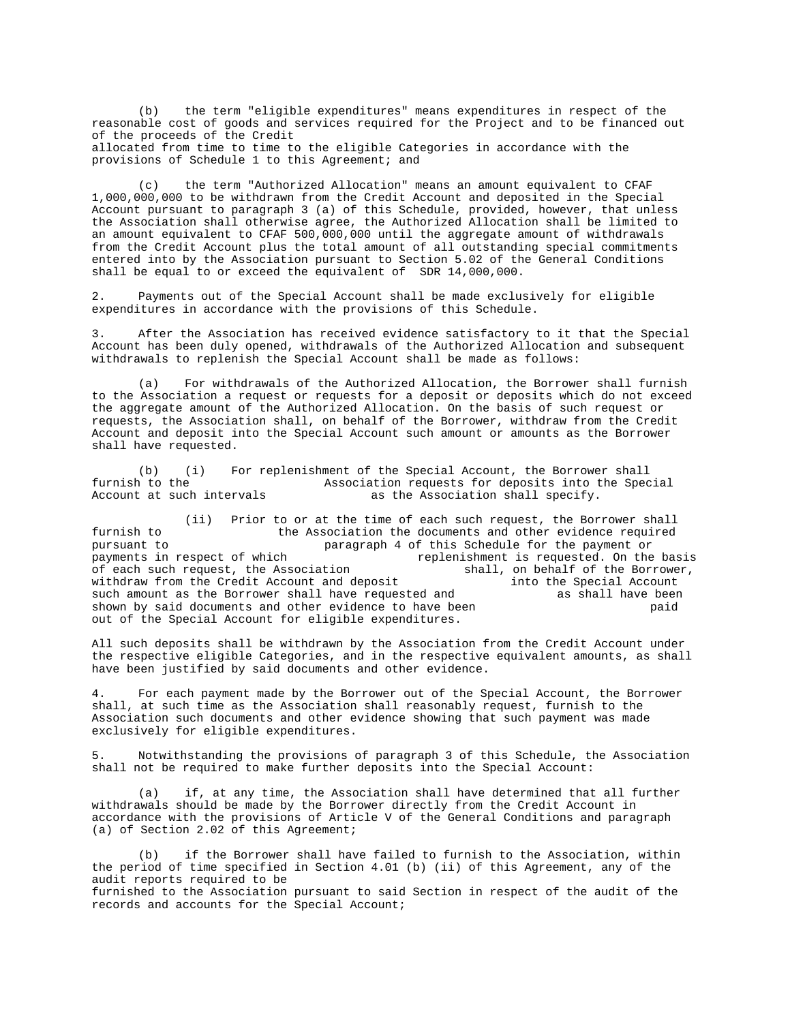(b) the term "eligible expenditures" means expenditures in respect of the reasonable cost of goods and services required for the Project and to be financed out of the proceeds of the Credit allocated from time to time to the eligible Categories in accordance with the provisions of Schedule 1 to this Agreement; and

(c) the term "Authorized Allocation" means an amount equivalent to CFAF 1,000,000,000 to be withdrawn from the Credit Account and deposited in the Special Account pursuant to paragraph 3 (a) of this Schedule, provided, however, that unless the Association shall otherwise agree, the Authorized Allocation shall be limited to an amount equivalent to CFAF 500,000,000 until the aggregate amount of withdrawals from the Credit Account plus the total amount of all outstanding special commitments entered into by the Association pursuant to Section 5.02 of the General Conditions shall be equal to or exceed the equivalent of SDR 14,000,000.

2. Payments out of the Special Account shall be made exclusively for eligible expenditures in accordance with the provisions of this Schedule.

3. After the Association has received evidence satisfactory to it that the Special Account has been duly opened, withdrawals of the Authorized Allocation and subsequent withdrawals to replenish the Special Account shall be made as follows:

(a) For withdrawals of the Authorized Allocation, the Borrower shall furnish to the Association a request or requests for a deposit or deposits which do not exceed the aggregate amount of the Authorized Allocation. On the basis of such request or requests, the Association shall, on behalf of the Borrower, withdraw from the Credit Account and deposit into the Special Account such amount or amounts as the Borrower shall have requested.

(b) (i) For replenishment of the Special Account, the Borrower shall furnish to the Special Association requests for deposits into the Spec furnish to the **Association** requests for deposits into the Special<br>Account at such intervals as the Association shall specify. as the Association shall specify.

(ii) Prior to or at the time of each such request, the Borrower shall furnish to the Association the documents and other evidence required<br>pursuant to paragraph 4 of this Schedule for the payment or pursuant to paragraph 4 of this Schedule for the payment or replenishment is requested. On the basis<br>shall, on behalf of the Borrower, of each such request, the Association withdraw from the Credit Account and deposit into the Special Account<br>such amount as the Borrower shall have requested and as shall have been such amount as the Borrower shall have requested and as shall have been<br>shown by said documents and other evidence to have been baid shown by said documents and other evidence to have been out of the Special Account for eligible expenditures.

All such deposits shall be withdrawn by the Association from the Credit Account under the respective eligible Categories, and in the respective equivalent amounts, as shall have been justified by said documents and other evidence.

4. For each payment made by the Borrower out of the Special Account, the Borrower shall, at such time as the Association shall reasonably request, furnish to the Association such documents and other evidence showing that such payment was made exclusively for eligible expenditures.

5. Notwithstanding the provisions of paragraph 3 of this Schedule, the Association shall not be required to make further deposits into the Special Account:

(a) if, at any time, the Association shall have determined that all further withdrawals should be made by the Borrower directly from the Credit Account in accordance with the provisions of Article V of the General Conditions and paragraph (a) of Section 2.02 of this Agreement;

(b) if the Borrower shall have failed to furnish to the Association, within the period of time specified in Section 4.01 (b) (ii) of this Agreement, any of the audit reports required to be furnished to the Association pursuant to said Section in respect of the audit of the records and accounts for the Special Account;